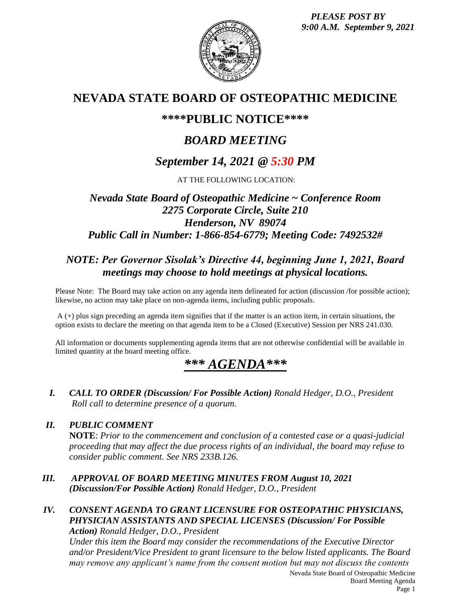*PLEASE POST BY 9:00 A.M. September 9, 2021*



# **NEVADA STATE BOARD OF OSTEOPATHIC MEDICINE**

## **\*\*\*\*PUBLIC NOTICE\*\*\*\***

# *BOARD MEETING*

# *September 14, 2021 @ 5:30 PM*

AT THE FOLLOWING LOCATION:

## *Nevada State Board of Osteopathic Medicine ~ Conference Room 2275 Corporate Circle, Suite 210 Henderson, NV 89074 Public Call in Number: 1-866-854-6779; Meeting Code: 7492532#*

## *NOTE: Per Governor Sisolak's Directive 44, beginning June 1, 2021, Board meetings may choose to hold meetings at physical locations.*

Please Note: The Board may take action on any agenda item delineated for action (discussion /for possible action); likewise, no action may take place on non-agenda items, including public proposals.

A (+) plus sign preceding an agenda item signifies that if the matter is an action item, in certain situations, the option exists to declare the meeting on that agenda item to be a Closed (Executive) Session per NRS 241.030.

All information or documents supplementing agenda items that are not otherwise confidential will be available in limited quantity at the board meeting office.

# *\*\*\* AGENDA\*\*\**

*I. CALL TO ORDER (Discussion/ For Possible Action) Ronald Hedger, D.O., President Roll call to determine presence of a quorum.*

## *II. PUBLIC COMMENT*

**NOTE**: *Prior to the commencement and conclusion of a contested case or a quasi-judicial proceeding that may affect the due process rights of an individual, the board may refuse to consider public comment. See NRS 233B.126.*

- *III. APPROVAL OF BOARD MEETING MINUTES FROM August 10, 2021 (Discussion/For Possible Action) Ronald Hedger, D.O., President*
- *IV. CONSENT AGENDA TO GRANT LICENSURE FOR OSTEOPATHIC PHYSICIANS, PHYSICIAN ASSISTANTS AND SPECIAL LICENSES (Discussion/ For Possible Action) Ronald Hedger, D.O., President*

*Under this item the Board may consider the recommendations of the Executive Director and/or President/Vice President to grant licensure to the below listed applicants. The Board may remove any applicant's name from the consent motion but may not discuss the contents*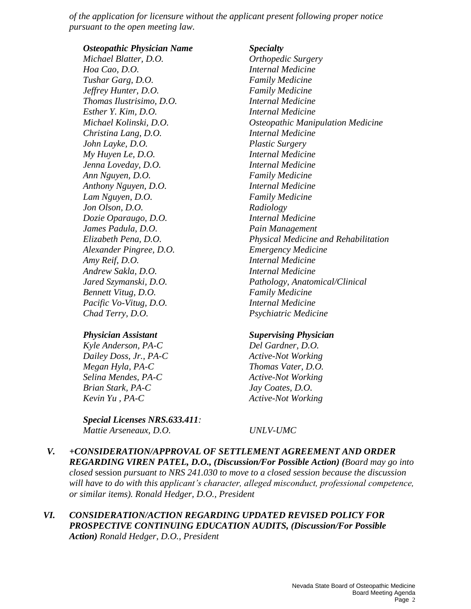*of the application for licensure without the applicant present following proper notice pursuant to the open meeting law.*

*Osteopathic Physician Name Specialty Michael Blatter, D.O. Orthopedic Surgery Hoa Cao, D.O. Internal Medicine Tushar Garg, D.O. Family Medicine Jeffrey Hunter, D.O. Family Medicine Thomas Ilustrisimo, D.O. Internal Medicine Esther Y. Kim, D.O. Internal Medicine Christina Lang, D.O. Internal Medicine John Layke, D.O. Plastic Surgery My Huyen Le, D.O. Internal Medicine Jenna Loveday, D.O. Internal Medicine Ann Nguyen, D.O. Family Medicine Anthony Nguyen, D.O. Internal Medicine Lam Nguyen, D.O. Family Medicine Jon Olson, D.O. Radiology Dozie Oparaugo, D.O. Internal Medicine James Padula, D.O. Pain Management Alexander Pingree, D.O. Emergency Medicine Amy Reif, D.O. Internal Medicine Andrew Sakla, D.O. Internal Medicine Bennett Vitug, D.O. Family Medicine Pacific Vo-Vitug, D.O. Internal Medicine Chad Terry, D.O. Psychiatric Medicine*

#### *Physician Assistant Supervising Physician*

*Kyle Anderson, PA-C Del Gardner, D.O. Dailey Doss, Jr., PA-C Active-Not Working Megan Hyla, PA-C Thomas Vater, D.O. Selina Mendes, PA-C Active-Not Working Brian Stark, PA-C Jay Coates, D.O. Kevin Yu , PA-C Active-Not Working*

*Special Licenses NRS.633.411: Mattie Arseneaux, D.O. UNLV-UMC* 

*Michael Kolinski, D.O. Osteopathic Manipulation Medicine Elizabeth Pena, D.O. Physical Medicine and Rehabilitation Jared Szymanski, D.O. Pathology, Anatomical/Clinical*

*V. +CONSIDERATION/APPROVAL OF SETTLEMENT AGREEMENT AND ORDER REGARDING VIREN PATEL, D.O., (Discussion/For Possible Action) (Board may go into closed* session *pursuant to NRS 241.030 to move to a closed session because the discussion will have to do with this applicant's character, alleged misconduct, professional competence, or similar items). Ronald Hedger, D.O., President* 

#### *VI. CONSIDERATION/ACTION REGARDING UPDATED REVISED POLICY FOR PROSPECTIVE CONTINUING EDUCATION AUDITS, (Discussion/For Possible Action) Ronald Hedger, D.O., President*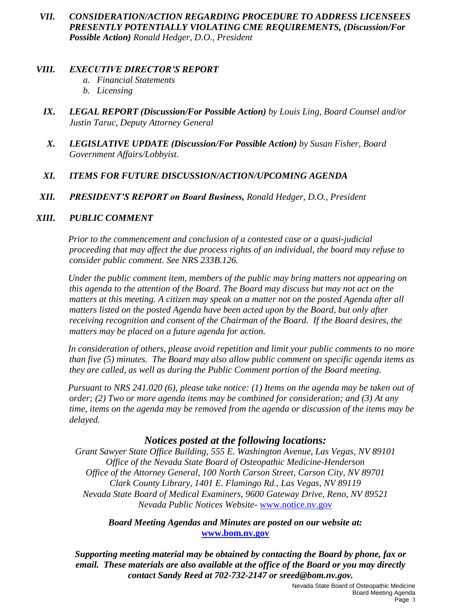*VII. CONSIDERATION/ACTION REGARDING PROCEDURE TO ADDRESS LICENSEES PRESENTLY POTENTIALLY VIOLATING CME REQUIREMENTS, (Discussion/For Possible Action) Ronald Hedger, D.O., President*

### *VIII. EXECUTIVE DIRECTOR'S REPORT*

- *a. Financial Statements*
- *b. Licensing*
- *IX. LEGAL REPORT (Discussion/For Possible Action) by Louis Ling, Board Counsel and/or Justin Taruc, Deputy Attorney General*
- *X. LEGISLATIVE UPDATE (Discussion/For Possible Action) by Susan Fisher, Board Government Affairs/Lobbyist*.

## *XI. ITEMS FOR FUTURE DISCUSSION/ACTION/UPCOMING AGENDA*

*XII. PRESIDENT'S REPORT on Board Business, Ronald Hedger, D.O., President*

## *XIII. PUBLIC COMMENT*

*Prior to the commencement and conclusion of a contested case or a quasi-judicial proceeding that may affect the due process rights of an individual, the board may refuse to consider public comment. See NRS 233B.126.*

*Under the public comment item, members of the public may bring matters not appearing on this agenda to the attention of the Board. The Board may discuss but may not act on the matters at this meeting. A citizen may speak on a matter not on the posted Agenda after all matters listed on the posted Agenda have been acted upon by the Board, but only after receiving recognition and consent of the Chairman of the Board. If the Board desires, the matters may be placed on a future agenda for action.*

*In consideration of others, please avoid repetition and limit your public comments to no more than five (5) minutes. The Board may also allow public comment on specific agenda items as they are called, as well as during the Public Comment portion of the Board meeting.* 

*Pursuant to NRS 241.020 (6), please take notice: (1) Items on the agenda may be taken out of order; (2) Two or more agenda items may be combined for consideration; and (3) At any time, items on the agenda may be removed from the agenda or discussion of the items may be delayed.*

## *Notices posted at the following locations:*

*Grant Sawyer State Office Building, 555 E. Washington Avenue, Las Vegas, NV 89101 Office of the Nevada State Board of Osteopathic Medicine-Henderson Office of the Attorney General, 100 North Carson Street, Carson City, NV 89701 Clark County Library, 1401 E. Flamingo Rd., Las Vegas, NV 89119 Nevada State Board of Medical Examiners, 9600 Gateway Drive, Reno, NV 89521 Nevada Public Notices Website-* [www.notice.nv.gov](http://www.notice.nv.gov/)

### *Board Meeting Agendas and Minutes are posted on our website at:* **[www.bom.nv.gov](http://www.bom.nv.gov/)**

*Supporting meeting material may be obtained by contacting the Board by phone, fax or email. These materials are also available at the office of the Board or you may directly contact Sandy Reed at 702-732-2147 or sreed@bom.nv.gov.*